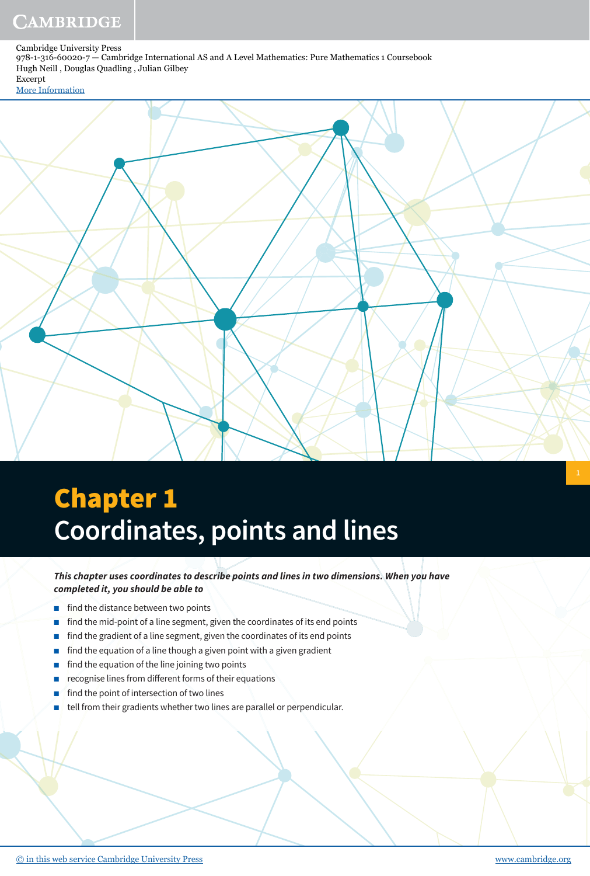### [More Information](www.cambridge.org/9781316600207)



# Chapter 1 **Coordinates, points and lines**

**This chapter uses coordinates to describe points and lines in two dimensions. When you have completed it, you should be able to**

- find the distance between two points
- find the mid-point of a line segment, given the coordinates of its end points
- find the gradient of a line segment, given the coordinates of its end points
- find the equation of a line though a given point with a given gradient
- find the equation of the line joining two points
- recognise lines from different forms of their equations
- find the point of intersection of two lines
- tell from their gradients whether two lines are parallel or perpendicular.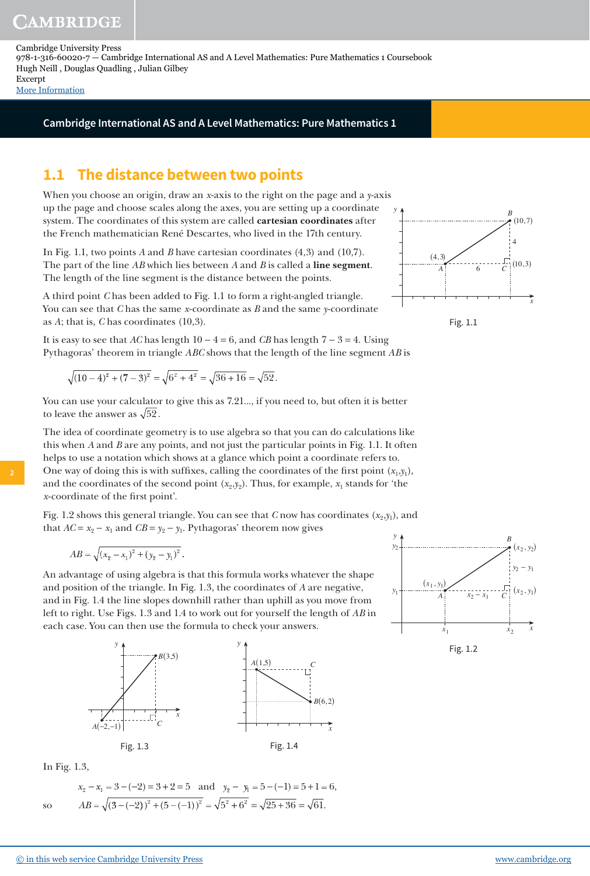[More Information](www.cambridge.org/9781316600207)

### **Cambridge International AS and A Level Mathematics: Pure Mathematics 1**

### **1.1 The distance between two points**

When you choose an origin, draw an *x*-axis to the right on the page and a *y*-axis up the page and choose scales along the axes, you are setting up a coordinate system. The coordinates of this system are called **cartesian coordinates** after the French mathematician René Descartes, who lived in the 17th century.

In Fig. 1.1, two points *A* and *B* have cartesian coordinates (4,3) and (10,7). The part of the line *AB* which lies between *A* and *B* is called a **line segment**. The length of the line segment is the distance between the points.

A third point *C* has been added to Fig. 1.1 to form a right-angled triangle. You can see that *C* has the same *x*-coordinate as *B* and the same *y*-coordinate as *A*; that is, *C* has coordinates (10,3).

It is easy to see that *AC* has length  $10 - 4 = 6$ , and *CB* has length  $7 - 3 = 4$ . Using Pythagoras' theorem in triangle *ABC* shows that the length of the line segment *AB* is

$$
\sqrt{(10-4)^2 + (7-3)^2} = \sqrt{6^2 + 4^2} = \sqrt{36 + 16} = \sqrt{52}.
$$

You can use your calculator to give this as 7.21..., if you need to, but often it is better to leave the answer as  $\sqrt{52}$ .

The idea of coordinate geometry is to use algebra so that you can do calculations like this when *A* and *B* are any points, and not just the particular points in Fig. 1.1. It often helps to use a notation which shows at a glance which point a coordinate refers to. One way of doing this is with suffixes, calling the coordinates of the first point  $(x_1, y_1)$ , and the coordinates of the second point  $(x_2,y_2)$ . Thus, for example,  $x_1$  stands for 'the *x*-coordinate of the first point'.

Fig. 1.2 shows this general triangle. You can see that  $C$  now has coordinates  $(x_2, y_1)$ , and that  $AC = x_2 - x_1$  and  $CB = y_2 - y_1$ . Pythagoras' theorem now gives

$$
AB = \sqrt{(x_2 - x_1)^2 + (y_2 - y_1)^2}.
$$

An advantage of using algebra is that this formula works whatever the shape and position of the triangle. In Fig. 1.3, the coordinates of *A* are negative, and in Fig. 1.4 the line slopes downhill rather than uphill as you move from left to right. Use Figs. 1.3 and 1.4 to work out for yourself the length of *AB* in each case. You can then use the formula to check your answers.



In Fig. 1.3,

so

$$
x_2 - x_1 = 3 - (-2) = 3 + 2 = 5
$$
 and  $y_2 - y_1 = 5 - (-1) = 5 + 1 = 6$ ,  
\n
$$
AB = \sqrt{(3 - (-2))^2 + (5 - (-1))^2} = \sqrt{5^2 + 6^2} = \sqrt{25 + 36} = \sqrt{61}.
$$





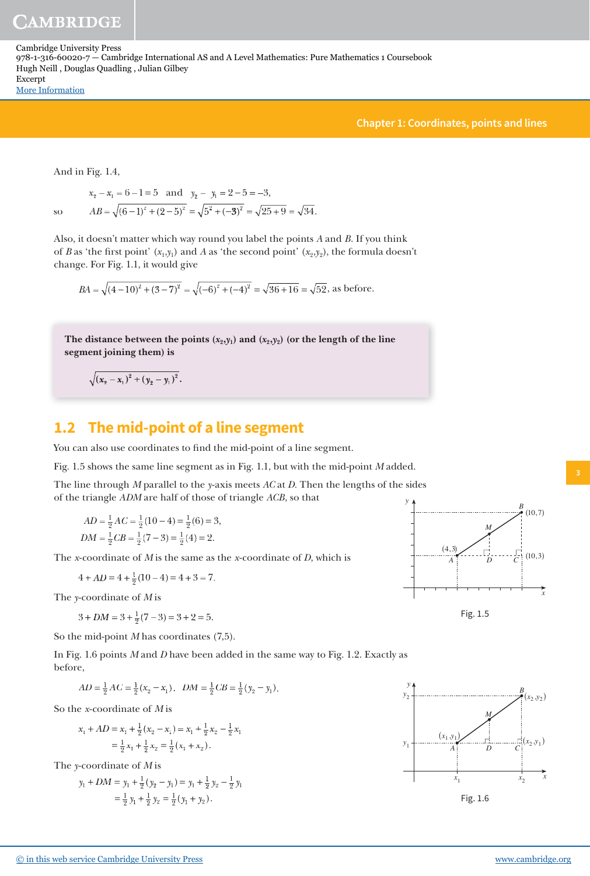**Chapter 1: Coordinates, points and lines**

And in Fig. 1.4,

 $x_2 - x_1 = 6 - 1 = 5$  and  $y_2 - y_1 = 2 - 5 = -3$ ,  $AB = \sqrt{(6-1)^2 + (2-5)^2} = \sqrt{5^2 + (-3)^2} = \sqrt{25 + 9} = \sqrt{34}.$ so

Also, it doesn't matter which way round you label the points *A* and *B*. If you think of *B* as 'the first point'  $(x_1,y_1)$  and *A* as 'the second point'  $(x_2,y_2)$ , the formula doesn't change. For Fig. 1.1, it would give

$$
BA = \sqrt{(4-10)^2 + (3-7)^2} = \sqrt{(-6)^2 + (-4)^2} = \sqrt{36+16} = \sqrt{52}
$$
, as before.

The distance between the points  $(x_2,y_1)$  and  $(x_2,y_2)$  (or the length of the line **segment joining them) is**

 $(x_2 - x_1)^2 + (y_2 - y_1)^2$ .

### **1.2 The mid-point of a line segment**

You can also use coordinates to find the mid-point of a line segment.

Fig. 1.5 shows the same line segment as in Fig. 1.1, but with the mid-point *M* added.

The line through *M* parallel to the *y*-axis meets *AC* at *D.* Then the lengths of the sides of the triangle *ADM* are half of those of triangle *ACB*, so that *y*

$$
AD = \frac{1}{2}AC = \frac{1}{2}(10 - 4) = \frac{1}{2}(6) = 3,
$$
  

$$
DM = \frac{1}{2}CB = \frac{1}{2}(7 - 3) = \frac{1}{2}(4) = 2.
$$

The *x*-coordinate of *M* is the same as the *x*-coordinate of *D*, which is

 $4 + AD = 4 + \frac{1}{2}(10 - 4) = 4 + 3 = 7$  $+ AD = 4 + \frac{1}{2}(10 - 4) = 4 + 3 = 7.$ 

The *y*-coordinate of *M* is

 $3 + DM = 3 + \frac{1}{2}(7 - 3) = 3 + 2 = 5$  $+\frac{1}{2}(7-3) = 3+2=5.$ 

So the mid-point *M* has coordinates (7,5).

In Fig. 1.6 points *M* and *D* have been added in the same way to Fig. 1.2. Exactly as before,

$$
AD = \frac{1}{2}AC = \frac{1}{2}(x_2 - x_1), \quad DM = \frac{1}{2}CB = \frac{1}{2}(y_2 - y_1).
$$

So the *x*-coordinate of *M* is

$$
x_1 + AD = x_1 + \frac{1}{2}(x_2 - x_1) = x_1 + \frac{1}{2}x_2 - \frac{1}{2}x_1
$$
  
=  $\frac{1}{2}x_1 + \frac{1}{2}x_2 = \frac{1}{2}(x_1 + x_2)$ .

The *y*-coordinate of *M* is

$$
y_1 + DM = y_1 + \frac{1}{2}(y_2 - y_1) = y_1 + \frac{1}{2}y_2 - \frac{1}{2}y_1
$$
  
=  $\frac{1}{2}y_1 + \frac{1}{2}y_2 = \frac{1}{2}(y_1 + y_2)$ .



Fig. 1.5

*A*

 $(4, 3)$ 

*x*

*B*

 $(10, 7)$ 

 $(10.3)$ 

*C*

*M*

*D*

信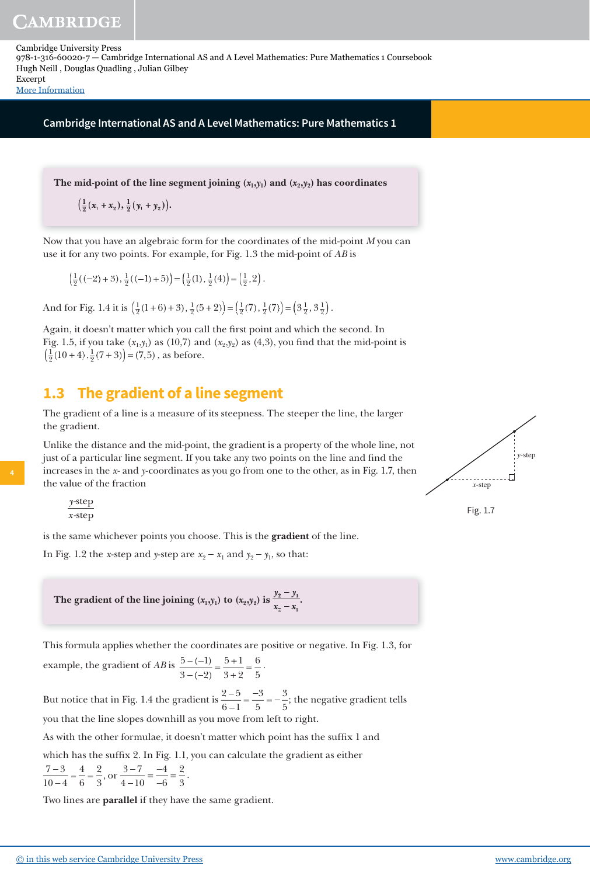**AMBRIDGE** 

Cambridge University Press 978-1-316-60020-7 — Cambridge International AS and A Level Mathematics: Pure Mathematics 1 Coursebook Hugh Neill , Douglas Quadling , Julian Gilbey Excerpt

[More Information](www.cambridge.org/9781316600207)

**Cambridge International AS and A Level Mathematics: Pure Mathematics 1**

The mid-point of the line segment joining  $(x_1,y_1)$  and  $(x_2,y_2)$  has coordinates

**1 2 1**  $\left(\frac{1}{2}(x_1 + x_2), \frac{1}{2}(y_1 + y_2)\right)$ 

Now that you have an algebraic form for the coordinates of the mid-point *M* you can use it for any two points. For example, for Fig. 1.3 the mid-point of *AB* is

$$
\left(\frac{1}{2}((-2)+3), \frac{1}{2}((-1)+5)\right) = \left(\frac{1}{2}(1), \frac{1}{2}(4)\right) = \left(\frac{1}{2}, 2\right).
$$

And for Fig. 1.4 it is  $\left(\frac{1}{2}(1+6)+3\right), \frac{1}{2}(5+2)\right) = \left(\frac{1}{2}(7), \frac{1}{2}(7)\right) = \left(3\frac{1}{2}, 3\frac{1}{2}\right)$ .

Again, it doesn't matter which you call the first point and which the second. In Fig. 1.5, if you take  $(x_1,y_1)$  as (10,7) and  $(x_2,y_2)$  as (4,3), you find that the mid-point is  $\left(\frac{1}{2}(10+4), \frac{1}{2}(7+3)\right) = (7,5)$ , as before.

## **1. 3 The gradient of a line segment**

The gradient of a line is a measure of its steepness. The steeper the line, the larger the gradient.

Unlike the distance and the mid-point, the gradient is a property of the whole line, not just of a particular line segment. If you take any two points on the line and find the increases in the *x*- and *y*-coordinates as you go from one to the other, as in Fig. 1.7, then the value of the fraction



*y* -step *x* -step

**4**

is the same whichever points you choose. This is the **gradient** of the line.

In Fig. 1.2 the *x*-step and *y*-step are  $x_2 - x_1$  and  $y_2 - y_1$ , so that:

The gradient of the line joining  $(x_1, y_1)$  to  $(x_2, y_2)$  is  $y_2 - y$  $x_2 - x$  $\frac{2}{2} - \frac{y_1}{x_1}$ .

This formula applies whether the coordinates are positive or negative. In Fig. 1.3, for example, the gradient of  $AB$  is  $\frac{5-(-1)}{2}$ 3  $5 + 1$  $3 + 2$ 6 5  $\frac{(-1)}{(-2)} = \frac{5+1}{3+2} = \frac{6}{5}$ .

But notice that in Fig. 1.4 the gradient is  $\frac{2-5}{6}$  $6 - 1$ 3 5 3 5  $=\frac{-3}{5}=-\frac{3}{5}$ ; the negative gradient tells you that the line slopes downhill as you move from left to right.

As with the other formulae, it doesn't matter which point has the suffix 1 and

which has the suffix 2. In Fig. 1.1, you can calculate the gradient as either

$$
\frac{7-3}{10-4} = \frac{4}{6} = \frac{2}{3}, \text{ or } \frac{3-7}{4-10} = \frac{-4}{-6} = \frac{2}{3}.
$$

Two lines are **parallel** if they have the same gradient.



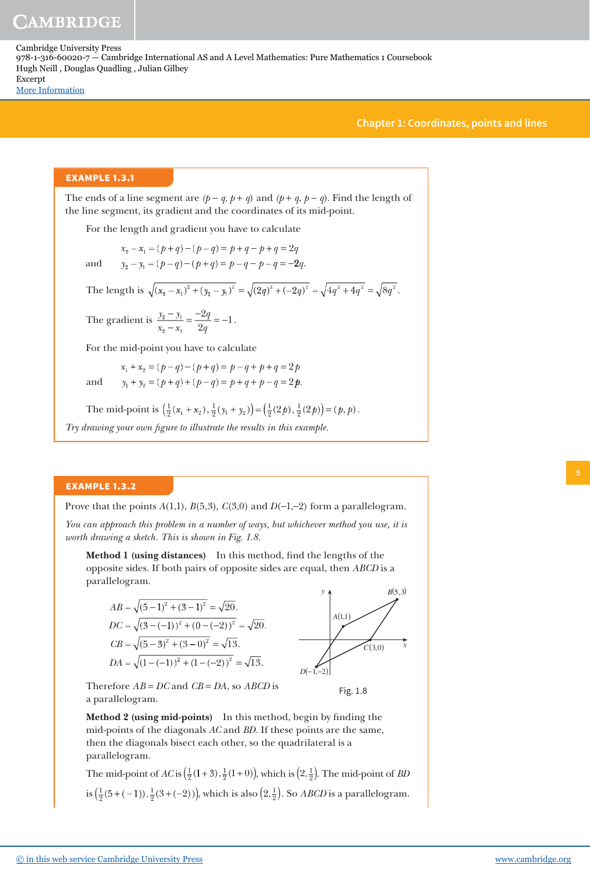### **Chapter 1: Coordinates, points and lines**

### **EXAMPLE 1.3.1**

The ends of a line segment are  $(p - q, p + q)$  and  $(p + q, p - q)$ . Find the length of the line segment, its gradient and the coordinates of its mid-point.

For the length and gradient you have to calculate

 $x_2 - x_1 = (p + q) - (p - q) = p + q - p + q = 2q$ 

and  $y_2 - y_1 = (p - q) - (p + q) = p - q - p - q = -2q$ .

The length is  $\sqrt{(x_2 - x_1)^2 + (y_2 - y_1)^2} = \sqrt{(2q)^2 + (-2q)^2} = \sqrt{4q^2 + 4q^2} = \sqrt{8q^2}$ .

The gradient is  $\frac{y_2 - y}{y_2 - y_1}$  $x_2 - x$ *q*  $\frac{y_2 - y_1}{2} = \frac{-2y_2}{2q}$  $=\frac{-2q}{2}=-1$ .

For the mid-point you have to calculate

 $x_1 + x_2 = (p - q) - (p + q) = p - q + p + q = 2p$ and  $y_1 + y_2 = (p+q) + (p-q) = p+q+p-q = 2p$ .

The mid-point is  $\left(\frac{1}{2}(x_1 + x_2), \frac{1}{2}(y_1 + y_2)\right) = \left(\frac{1}{2}(2p), \frac{1}{2}(2p)\right) = (p, p)$ .

Try drawing your own figure to illustrate the results in this example.

### **EXAMPLE 1.3.2**

Prove that the points *A*(1,1), *B*(5,3), *C*(3,0) and *D*(−1,−2) form a parallelogram.

*You can approach this problem in a number of ways, but whichever method you use, it is worth drawing a sketch. This is shown in Fig. 1.8.*

**Method 1 (using distances)** In this method, find the lengths of the opposite sides. If both pairs of opposite sides are equal, then *ABCD* is a parallelogram.

$$
AB = \sqrt{(5-1)^2 + (3-1)^2} = \sqrt{20}.
$$
  
\n
$$
DC = \sqrt{(3-(-1))^2 + (0-(-2))^2} = \sqrt{20}.
$$
  
\n
$$
CB = \sqrt{(5-3)^2 + (3-0)^2} = \sqrt{13}.
$$
  
\n
$$
DA = \sqrt{(1-(-1))^2 + (1-(-2))^2} = \sqrt{13}.
$$

Therefore *AB* = *DC* and *CB* = *DA*, so *ABCD* is a parallelogram.

**Method 2 (using mid-points)** In this method, begin by finding the mid-points of the diagonals *AC* and *BD.* If these points are the same, then the diagonals bisect each other, so the quadrilateral is a parallelogram.

The mid-point of  $AC$  is  $\left(\frac{1}{2}(1+3), \frac{1}{2}(1+0)\right)$ , which is  $\left(2, \frac{1}{2}\right)$ . The mid-point of *BD* is  $\left(\frac{1}{2}\right)$ 1  $\left(\frac{1}{2}(5+(-1)), \frac{1}{2}(3+(-2))\right)$ , which is also  $\left(2, \frac{1}{2}\right)$  $(2,\frac{1}{2})$ . So *ABCD* is a parallelogram.



Fig. 1.8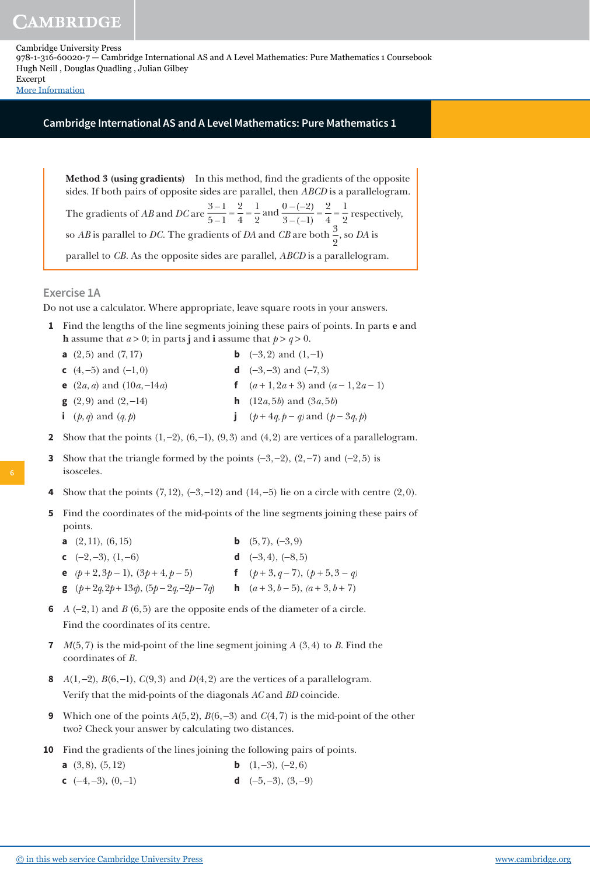**AMBRIDGE** 

Cambridge University Press 978-1-316-60020-7 — Cambridge International AS and A Level Mathematics: Pure Mathematics 1 Coursebook Hugh Neill , Douglas Quadling , Julian Gilbey Excerpt

[More Information](www.cambridge.org/9781316600207)

### **Cambridge International AS and A Level Mathematics: Pure Mathematics 1**

**Method 3 (using gradients)** In this method, find the gradients of the opposite sides. If both pairs of opposite sides are parallel, then *ABCD* is a parallelogram. The gradients of *AB* and *DC* are  $\frac{3-1}{5-1}$  $5 - 1$ 2 4 1 2 0  $3 - (-1)$ 2 4 1 2  $=\frac{2}{4}=\frac{1}{2}$  and  $\frac{0-(-2)}{3-(-1)}=\frac{2}{4}=\frac{1}{2}$  respectively, so *AB* is parallel to *DC*. The gradients of *DA* and *CB* are both  $\frac{3}{3}$ 2 , so *DA* is parallel to *CB.* As the opposite sides are parallel, *ABCD* is a parallelogram.

### **Exercise 1A**

Do not use a calculator. Where appropriate, leave square roots in your answers.

- **1** Find the lengths of the line segments joining these pairs of points. In parts **e** and **h** assume that  $a > 0$ ; in parts **j** and **i** assume that  $p > q > 0$ .
	- **a**  $(2, 5)$  and  $(7, 17)$  **b**  $(-3, 2)$  and  $(1, -1)$
	- **c** (4, −5) and (−1, 0) **d** (−3, −3) and (−7, 3)
	- **e** (2*a*, *a*) and (10*a*, −14*a*) **f** (*a* + 1, 2*a* + 3) and (*a* − 1, 2*a* − 1)
- - **g** (2, 9) and (2, −14) **h** (12*a*, 5*b*) and (3*a*, 5*b*)
	- **i**  $(p, q)$  and  $(q, p)$  **j**  $(p + 4q, p q)$  and  $(p 3q, p)$
- **2** Show that the points  $(1,-2)$ ,  $(6,-1)$ ,  $(9,3)$  and  $(4,2)$  are vertices of a parallelogram.
- Show that the triangle formed by the points  $(-3, -2)$ ,  $(2, -7)$  and  $(-2, 5)$  is isosceles.
- Show that the points  $(7, 12)$ ,  $(-3, -12)$  and  $(14, -5)$  lie on a circle with centre  $(2, 0)$ .
- **5** Find the coordinates of the mid-points of the line segments joining these pairs of points.
	- **a**  $(2, 11)$ ,  $(6, 15)$  **b**  $(5, 7)$ ,  $(-3, 9)$ **c**  $(-2,-3)$ ,  $(1,-6)$  **d**  $(-3,4)$ ,  $(-8,5)$ **e**  $(p+2, 3p-1)$ ,  $(3p+4, p-5)$  **f**  $(p+3, q-7)$ ,  $(p+5, 3-q)$ **g**  $(p+2q, 2p+13q)$ ,  $(5p-2q, -2p-7q)$  **h**  $(a+3, b-5)$ ,  $(a+3, b+7)$
- **6** *A* (−2, 1) and *B* (6, 5) are the opposite ends of the diameter of a circle. Find the coordinates of its centre.
- **7** *M*(5, 7) is the mid-point of the line segment joining *A* (3, 4) to *B*. Find the coordinates of *B*.
- **8** *A*(1, −2), *B*(6, −1), *C*(9, 3) and *D*(4, 2) are the vertices of a parallelogram. Verify that the mid-points of the diagonals *AC* and *BD* coincide.
- **9** Which one of the points *A*(5, 2), *B*(6, −3) and *C*(4, 7) is the mid-point of the other two? Check your answer by calculating two distances.
- **10** Find the gradients of the lines joining the following pairs of points.
	- **a** (3,8), (5,12) **b** (1,−3), (−2, 6)
	- **c** (−4, −3), (0, −1) **d** (−5, −3), (3, −9)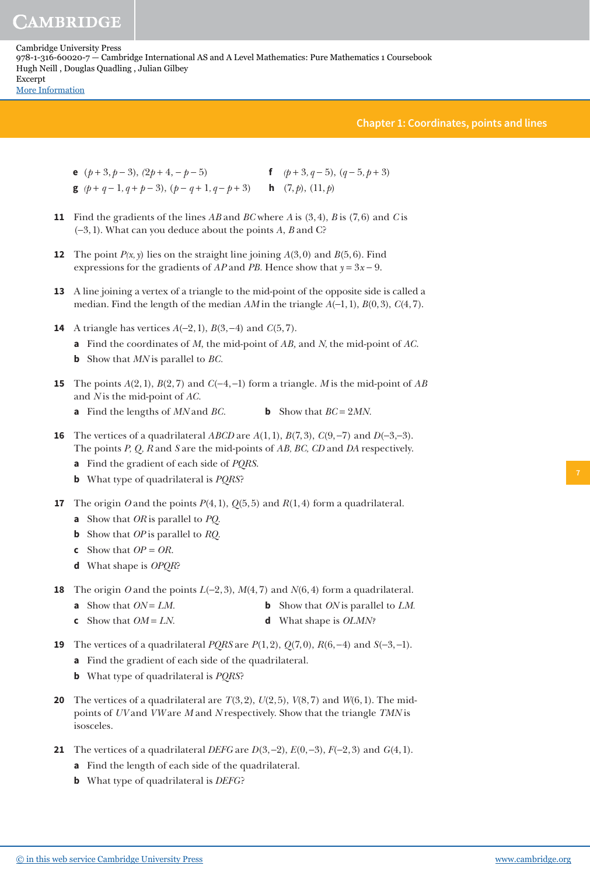**Chapter 1: Coordinates, points and lines**

- **e** (*p* + 3, *p* − 3), *(*2*p* + 4, − *p* − 5) **f** *(p* + 3*, q* − 5), (*q* − 5*, p* + 3) **g**  $(p+q-1, q+p-3)$ ,  $(p-q+1, q-p+3)$  **h**  $(7, p)$ ,  $(11, p)$
- **11** Find the gradients of the lines *AB* and *BC* where *A* is (3, 4), *B* is (7, 6) and *C* is (−3, 1). What can you deduce about the points *A*, *B* and C?
- **12** The point  $P(x, y)$  lies on the straight line joining  $A(3, 0)$  and  $B(5, 6)$ . Find expressions for the gradients of *AP* and *PB*. Hence show that  $y = 3x - 9$ .
- **13** A line joining a vertex of a triangle to the mid-point of the opposite side is called a median. Find the length of the median *AM* in the triangle *A*(−1, 1), *B*(0, 3), *C*(4, 7).
- **14** A triangle has vertices *A*(−2, 1), *B*(3, −4) and *C*(5, 7).
	- **a** Find the coordinates of *M*, the mid-point of *AB,* and *N,* the mid-point of *AC*.
	- **b** Show that *MN* is parallel to *BC.*
- **15** The points *A*(2, 1), *B*(2, 7) and *C*(−4, −1) form a triangle. *M* is the mid-point of *AB* and *N* is the mid-point of *AC.*
	- **a** Find the lengths of *MN* and *BC.* **b** Show that *BC* = 2*MN.*
- **16** The vertices of a quadrilateral *ABCD* are *A*(1, 1), *B*(7, 3), *C*(9, −7) and *D*(−3,−3). The points *P, Q, R* and *S* are the mid-points of *AB, BC, CD* and *DA* respectively.
	- **a** Find the gradient of each side of *PQRS*.
	- **b** What type of quadrilateral is *PQRS*?
- **17** The origin *O* and the points  $P(4, 1)$ ,  $Q(5, 5)$  and  $R(1, 4)$  form a quadrilateral.
	- **a** Show that *OR* is parallel to *PQ.*
	- **b** Show that *OP* is parallel to *RQ.*
	- **c** Show that  $OP = OR$ .
	- **d** What shape is *OPQR*?
- **18** The origin *O* and the points *L*(−2, 3), *M*(4, 7) and *N*(6, 4) form a quadrilateral.
	- **a** Show that  $ON = LM$ . **b** Show that *ON* is parallel to *LM.*
	- **c** Show that *OM* = *LN.* **d** What shape is *OLMN?*
- **19** The vertices of a quadrilateral *PQRS* are *P*(1, 2), *Q*(7, 0), *R*(6, −4) and *S*(−3, −1).
	- **a** Find the gradient of each side of the quadrilateral.
	- **b** What type of quadrilateral is *PQRS*?
- **20** The vertices of a quadrilateral are  $T(3, 2)$ ,  $U(2, 5)$ ,  $V(8, 7)$  and  $W(6, 1)$ . The midpoints of *UV* and *VW* are *M* and *N* respectively. Show that the triangle *TMN* is isosceles.
- **21** The vertices of a quadrilateral *DEFG* are *D*(3, −2), *E*(0, −3), *F*(−2, 3) and *G*(4, 1).
	- **a** Find the length of each side of the quadrilateral.
	- **b** What type of quadrilateral is *DEFG* ?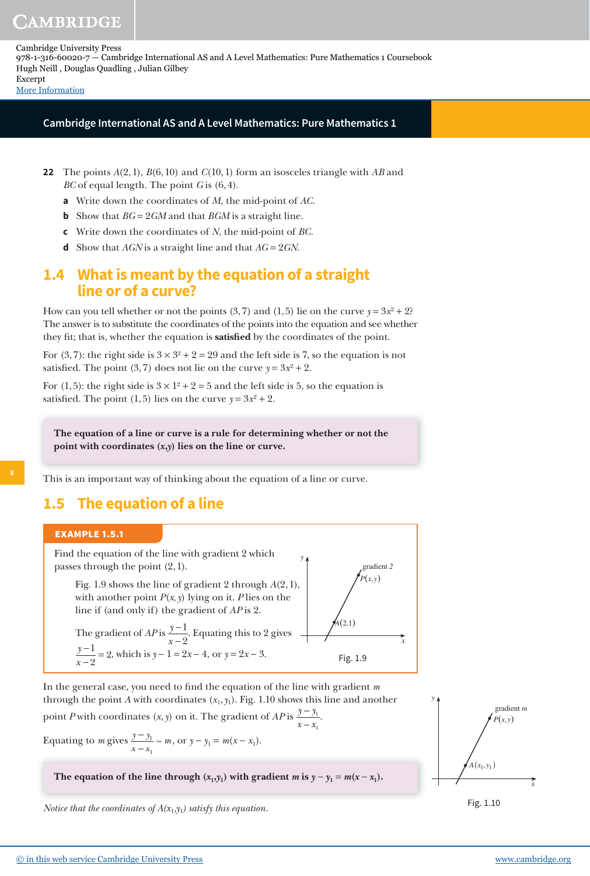**Cambridge International AS and A Level Mathematics: Pure Mathematics 1**

- **22** The points *A*(2, 1), *B*(6, 10) and *C*(10, 1) form an isosceles triangle with *AB* and *BC* of equal length. The point *G* is (6, 4).
	- **a** Write down the coordinates of *M*, the mid-point of *AC*.
	- **b** Show that *BG* = 2*GM* and that *BGM* is a straight line.
	- **c** Write down the coordinates of *N*, the mid-point of *BC*.
	- **d** Show that *AGN* is a straight line and that *AG* = 2*GN*.

### **1.4 What is meant by the equation of a straight line or of a curve?**

How can you tell whether or not the points  $(3, 7)$  and  $(1, 5)$  lie on the curve  $y = 3x^2 + 2$ ? The answer is to substitute the coordinates of the points into the equation and see whether they fit; that is, whether the equation is **satisfied** by the coordinates of the point.

For (3, 7): the right side is  $3 \times 3^2 + 2 = 29$  and the left side is 7, so the equation is not satisfied. The point (3, 7) does not lie on the curve  $y = 3x^2 + 2$ .

For (1, 5): the right side is  $3 \times 1^2 + 2 = 5$  and the left side is 5, so the equation is satisfied. The point  $(1, 5)$  lies on the curve  $y = 3x^2 + 2$ .

**The equation of a line or curve is a rule for determining whether or not the point with coordinates (x,y) lies on the line or curve.**

This is an important way of thinking about the equation of a line or curve.

# **1.5 The equation of a line**

#### **EXAMPLE 1.5.1**



In the general case, you need to find the equation of the line with gradient *m* through the point *A* with coordinates  $(x_1, y_1)$ . Fig. 1.10 shows this line and another

point *P* with coordinates  $(x, y)$  on it. The gradient of *AP* is  $\frac{y - y}{x - x}$ 1 .

Equating to *m* gives  $\frac{y - y}{y}$ *x x*  $\frac{1}{m} = m$ 1 , or  $y - y_1 = m(x - x_1)$ .

The equation of the line through  $(x_1, y_1)$  with gradient  $m$  is  $y - y_1 = m(x - x_1)$ .

1

*Notice that the coordinates of*  $A(x_1,y_1)$  *satisfy this equation.* 



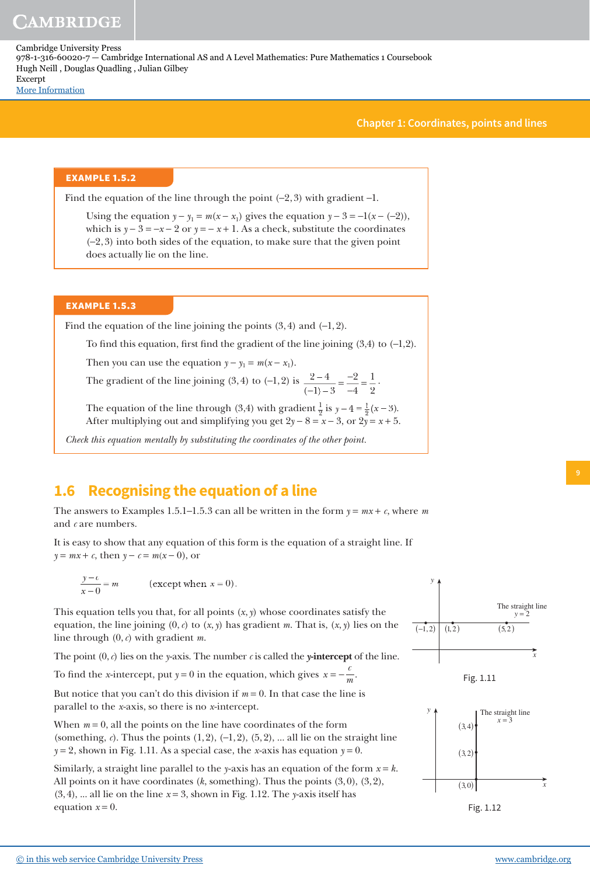**Chapter 1: Coordinates, points and lines**

.

### **EXAMPLE 1.5.2**

Find the equation of the line through the point  $(-2, 3)$  with gradient -1.

Using the equation  $y - y_1 = m(x - x_1)$  gives the equation  $y - 3 = -1(x - (-2))$ , which is  $y - 3 = -x - 2$  or  $y = -x + 1$ . As a check, substitute the coordinates (−2, 3) into both sides of the equation, to make sure that the given point does actually lie on the line.

### **EXAMPLE 1.5.3**

Find the equation of the line joining the points  $(3, 4)$  and  $(-1, 2)$ .

To find this equation, first find the gradient of the line joining  $(3,4)$  to  $(-1,2)$ .

Then you can use the equation  $y - y_1 = m(x - x_1)$ .

The gradient of the line joining (3, 4) to (−1, 2) is  $\frac{2-4}{\cdots}$  $1) - 3$ 2 4 1 2 = − − =  $(-1)$ 

The equation of the line through (3,4) with gradient  $\frac{1}{2}$  is  $y - 4 = \frac{1}{2}(x)$  $\frac{1}{2}(x-3)$ . After multiplying out and simplifying you get  $2y - 8 = x - 3$ , or  $2y = x + 5$ .

*Check this equation mentally by substituting the coordinates of the other point.*

# **1.6 Recognising the equation of a line**

The answers to Examples 1.5.1−1.5.3 can all be written in the form *y* = *mx* + *c*, where *m* and *c* are numbers.

It is easy to show that any equation of this form is the equation of a straight line. If *y* =  $mx + c$ , then *y* −  $c = m(x - 0)$ , or

$$
\frac{y-c}{x-0} = m \qquad \text{(except when } x = 0\text{)}.
$$

This equation tells you that, for all points  $(x, y)$  whose coordinates satisfy the equation, the line joining (0, *c*) to (*x*, *y*) has gradient *m*. That is, (*x*, *y*) lies on the line through (0, *c*) with gradient *m*.

The point  $(0, c)$  lies on the *y*-axis. The number *c* is called the *y*-intercept of the line.

To find the *x*-intercept, put  $y = 0$  in the equation, which gives  $x = -\frac{c}{n}$  $=-\frac{c}{m}$ .

But notice that you can't do this division if  $m = 0$ . In that case the line is parallel to the *x*-axis, so there is no *x*-intercept.

When  $m = 0$ , all the points on the line have coordinates of the form (something,  $c$ ). Thus the points  $(1, 2)$ ,  $(-1, 2)$ ,  $(5, 2)$ , ... all lie on the straight line  $y = 2$ , shown in Fig. 1.11. As a special case, the *x*-axis has equation  $y = 0$ .

Similarly, a straight line parallel to the *y*-axis has an equation of the form  $x = k$ . All points on it have coordinates (*k*, something). Thus the points (3, 0), (3, 2), (3, 4), ... all lie on the line *x* = 3, shown in Fig. 1.12. The *y*-axis itself has equation  $x = 0$ .